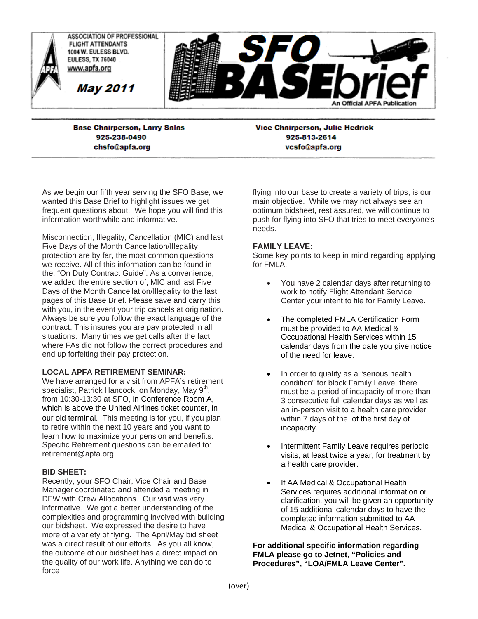

**Base Chairperson, Larry Salas** 925-238-0490 chsfo@apfa.org

**Vice Chairperson, Julie Hedrick** 925-813-2614 vcsfo@apfa.org

As we begin our fifth year serving the SFO Base, we wanted this Base Brief to highlight issues we get frequent questions about. We hope you will find this information worthwhile and informative.

Misconnection, Illegality, Cancellation (MIC) and last Five Days of the Month Cancellation/Illegality protection are by far, the most common questions we receive. All of this information can be found in the, "On Duty Contract Guide". As a convenience, we added the entire section of, MIC and last Five Days of the Month Cancellation/Illegality to the last pages of this Base Brief. Please save and carry this with you, in the event your trip cancels at origination. Always be sure you follow the exact language of the contract. This insures you are pay protected in all situations. Many times we get calls after the fact, where FAs did not follow the correct procedures and end up forfeiting their pay protection.

# **LOCAL APFA RETIREMENT SEMINAR:**

We have arranged for a visit from APFA's retirement specialist, Patrick Hancock, on Monday, May  $9<sup>m</sup>$ , from 10:30-13:30 at SFO, in Conference Room A, which is above the United Airlines ticket counter, in our old terminal. This meeting is for you, if you plan to retire within the next 10 years and you want to learn how to maximize your pension and benefits. Specific Retirement questions can be emailed to: retirement@apfa.org

## **BID SHEET:**

Recently, your SFO Chair, Vice Chair and Base Manager coordinated and attended a meeting in DFW with Crew Allocations. Our visit was very informative. We got a better understanding of the complexities and programming involved with building our bidsheet. We expressed the desire to have more of a variety of flying. The April/May bid sheet was a direct result of our efforts. As you all know, the outcome of our bidsheet has a direct impact on the quality of our work life. Anything we can do to force

flying into our base to create a variety of trips, is our main objective. While we may not always see an optimum bidsheet, rest assured, we will continue to push for flying into SFO that tries to meet everyone's needs.

## **FAMILY LEAVE:**

Some key points to keep in mind regarding applying for FMLA.

- You have 2 calendar days after returning to work to notify Flight Attendant Service Center your intent to file for Family Leave.
- The completed FMLA Certification Form must be provided to AA Medical & Occupational Health Services within 15 calendar days from the date you give notice of the need for leave.
- In order to qualify as a "serious health condition" for block Family Leave, there must be a period of incapacity of more than 3 consecutive full calendar days as well as an in-person visit to a health care provider within 7 days of the of the first day of incapacity.
- Intermittent Family Leave requires periodic visits, at least twice a year, for treatment by a health care provider.
- If AA Medical & Occupational Health Services requires additional information or clarification, you will be given an opportunity of 15 additional calendar days to have the completed information submitted to AA Medical & Occupational Health Services.

**For additional specific information regarding FMLA please go to Jetnet, "Policies and Procedures", "LOA/FMLA Leave Center".**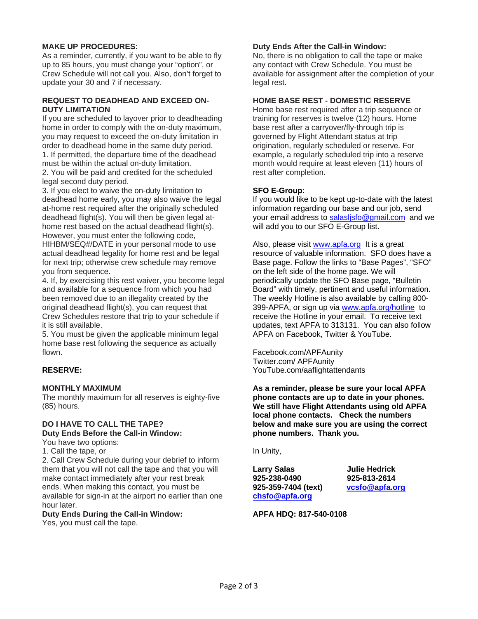## **MAKE UP PROCEDURES:**

As a reminder, currently, if you want to be able to fly up to 85 hours, you must change your "option", or Crew Schedule will not call you. Also, don't forget to update your 30 and 7 if necessary.

### **REQUEST TO DEADHEAD AND EXCEED ON-DUTY LIMITATION**

If you are scheduled to layover prior to deadheading home in order to comply with the on-duty maximum, you may request to exceed the on-duty limitation in order to deadhead home in the same duty period. 1. If permitted, the departure time of the deadhead must be within the actual on-duty limitation. 2. You will be paid and credited for the scheduled legal second duty period.

3. If you elect to waive the on-duty limitation to deadhead home early, you may also waive the legal at-home rest required after the originally scheduled deadhead flight(s). You will then be given legal athome rest based on the actual deadhead flight(s). However, you must enter the following code, HIHBM/SEQ#/DATE in your personal mode to use actual deadhead legality for home rest and be legal for next trip; otherwise crew schedule may remove you from sequence.

4. If, by exercising this rest waiver, you become legal and available for a sequence from which you had been removed due to an illegality created by the original deadhead flight(s), you can request that Crew Schedules restore that trip to your schedule if it is still available.

5. You must be given the applicable minimum legal home base rest following the sequence as actually flown.

# **RESERVE:**

## **MONTHLY MAXIMUM**

The monthly maximum for all reserves is eighty-five (85) hours.

# **DO I HAVE TO CALL THE TAPE? Duty Ends Before the Call-in Window:**

You have two options:

1. Call the tape, or

2. Call Crew Schedule during your debrief to inform them that you will not call the tape and that you will make contact immediately after your rest break ends. When making this contact, you must be available for sign-in at the airport no earlier than one hour later.

**Duty Ends During the Call-in Window:**  Yes, you must call the tape.

base rest after a carryover/fly-through trip is governed by Flight Attendant status at trip

**Duty Ends After the Call-in Window:** 

No, there is no obligation to call the tape or make any contact with Crew Schedule. You must be available for assignment after the completion of your

**HOME BASE REST - DOMESTIC RESERVE**  Home base rest required after a trip sequence or training for reserves is twelve (12) hours. Home

origination, regularly scheduled or reserve. For example, a regularly scheduled trip into a reserve month would require at least eleven (11) hours of rest after completion.

## **SFO E-Group:**

legal rest.

If you would like to be kept up-to-date with the latest information regarding our base and our job, send your email address to salasljsfo@gmail.com and we will add you to our SFO E-Group list.

Also, please visit www.apfa.org It is a great resource of valuable information. SFO does have a Base page. Follow the links to "Base Pages", "SFO" on the left side of the home page. We will periodically update the SFO Base page, "Bulletin Board" with timely, pertinent and useful information. The weekly Hotline is also available by calling 800- 399-APFA, or sign up via www.apfa.org/hotline to receive the Hotline in your email. To receive text updates, text APFA to 313131. You can also follow APFA on Facebook, Twitter & YouTube.

Facebook.com/APFAunity Twitter.com/ APFAunity YouTube.com/aaflightattendants

**As a reminder, please be sure your local APFA phone contacts are up to date in your phones. We still have Flight Attendants using old APFA local phone contacts. Check the numbers below and make sure you are using the correct phone numbers. Thank you.** 

In Unity,

**Larry Salas Julie Hedrick 925-238-0490 925-813-2614 925-359-7404 (text) vcsfo@apfa.org chsfo@apfa.org** 

## **APFA HDQ: 817-540-0108**